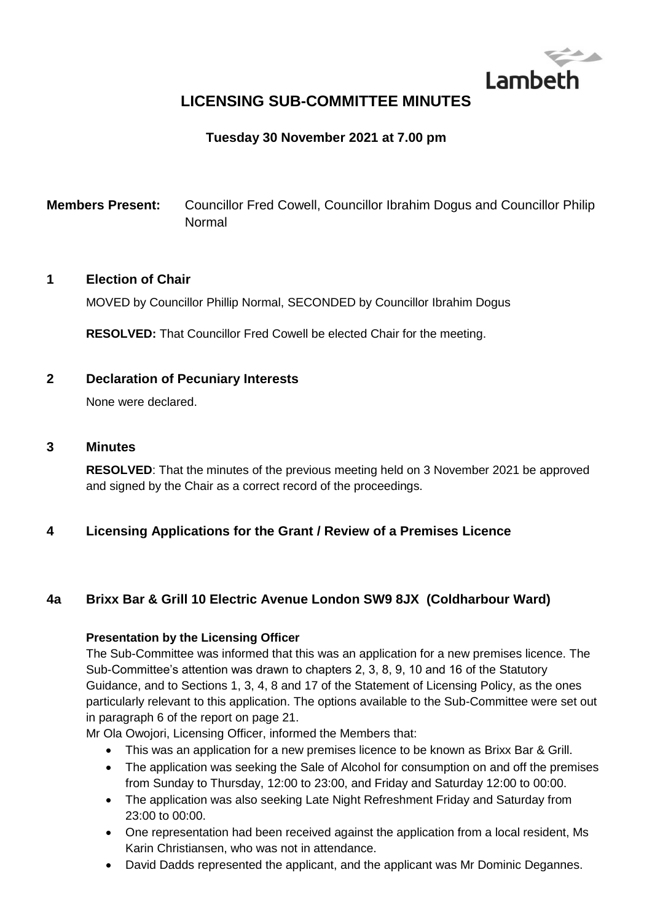

# **LICENSING SUB-COMMITTEE MINUTES**

# **Tuesday 30 November 2021 at 7.00 pm**

**Members Present:** Councillor Fred Cowell, Councillor Ibrahim Dogus and Councillor Philip Normal

#### **1 Election of Chair**

MOVED by Councillor Phillip Normal, SECONDED by Councillor Ibrahim Dogus

**RESOLVED:** That Councillor Fred Cowell be elected Chair for the meeting.

# **2 Declaration of Pecuniary Interests**

None were declared.

#### **3 Minutes**

**RESOLVED**: That the minutes of the previous meeting held on 3 November 2021 be approved and signed by the Chair as a correct record of the proceedings.

## **4 Licensing Applications for the Grant / Review of a Premises Licence**

# **4a Brixx Bar & Grill 10 Electric Avenue London SW9 8JX (Coldharbour Ward)**

#### **Presentation by the Licensing Officer**

The Sub-Committee was informed that this was an application for a new premises licence. The Sub-Committee's attention was drawn to chapters 2, 3, 8, 9, 10 and 16 of the Statutory Guidance, and to Sections 1, 3, 4, 8 and 17 of the Statement of Licensing Policy, as the ones particularly relevant to this application. The options available to the Sub-Committee were set out in paragraph 6 of the report on page 21.

Mr Ola Owojori, Licensing Officer, informed the Members that:

- This was an application for a new premises licence to be known as Brixx Bar & Grill.
- The application was seeking the Sale of Alcohol for consumption on and off the premises from Sunday to Thursday, 12:00 to 23:00, and Friday and Saturday 12:00 to 00:00.
- The application was also seeking Late Night Refreshment Friday and Saturday from 23:00 to 00:00.
- One representation had been received against the application from a local resident, Ms Karin Christiansen, who was not in attendance.
- David Dadds represented the applicant, and the applicant was Mr Dominic Degannes.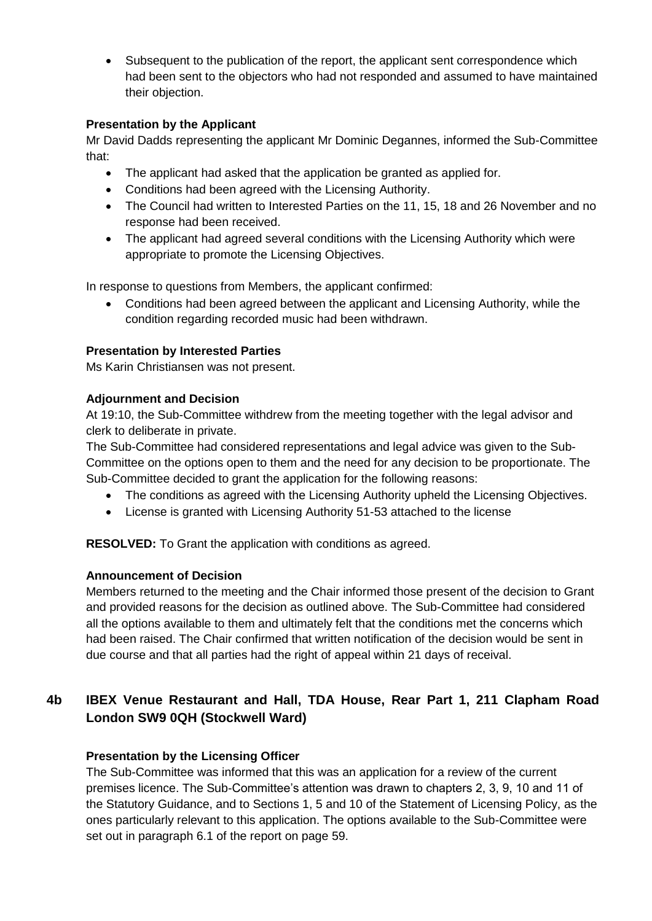Subsequent to the publication of the report, the applicant sent correspondence which had been sent to the objectors who had not responded and assumed to have maintained their objection.

### **Presentation by the Applicant**

Mr David Dadds representing the applicant Mr Dominic Degannes, informed the Sub-Committee that:

- The applicant had asked that the application be granted as applied for.
- Conditions had been agreed with the Licensing Authority.
- The Council had written to Interested Parties on the 11, 15, 18 and 26 November and no response had been received.
- The applicant had agreed several conditions with the Licensing Authority which were appropriate to promote the Licensing Objectives.

In response to questions from Members, the applicant confirmed:

 Conditions had been agreed between the applicant and Licensing Authority, while the condition regarding recorded music had been withdrawn.

## **Presentation by Interested Parties**

Ms Karin Christiansen was not present.

#### **Adjournment and Decision**

At 19:10, the Sub-Committee withdrew from the meeting together with the legal advisor and clerk to deliberate in private.

The Sub-Committee had considered representations and legal advice was given to the Sub-Committee on the options open to them and the need for any decision to be proportionate. The Sub-Committee decided to grant the application for the following reasons:

- The conditions as agreed with the Licensing Authority upheld the Licensing Objectives.
- License is granted with Licensing Authority 51-53 attached to the license

**RESOLVED:** To Grant the application with conditions as agreed.

#### **Announcement of Decision**

Members returned to the meeting and the Chair informed those present of the decision to Grant and provided reasons for the decision as outlined above. The Sub-Committee had considered all the options available to them and ultimately felt that the conditions met the concerns which had been raised. The Chair confirmed that written notification of the decision would be sent in due course and that all parties had the right of appeal within 21 days of receival.

# **4b IBEX Venue Restaurant and Hall, TDA House, Rear Part 1, 211 Clapham Road London SW9 0QH (Stockwell Ward)**

## **Presentation by the Licensing Officer**

The Sub-Committee was informed that this was an application for a review of the current premises licence. The Sub-Committee's attention was drawn to chapters 2, 3, 9, 10 and 11 of the Statutory Guidance, and to Sections 1, 5 and 10 of the Statement of Licensing Policy, as the ones particularly relevant to this application. The options available to the Sub-Committee were set out in paragraph 6.1 of the report on page 59.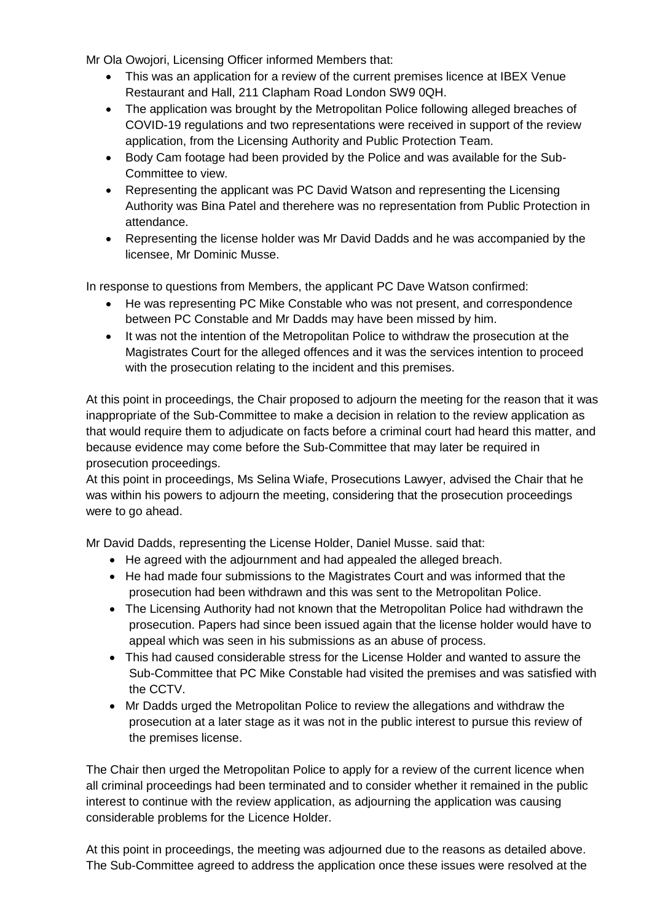Mr Ola Owojori, Licensing Officer informed Members that:

- This was an application for a review of the current premises licence at IBEX Venue Restaurant and Hall, 211 Clapham Road London SW9 0QH.
- The application was brought by the Metropolitan Police following alleged breaches of COVID-19 regulations and two representations were received in support of the review application, from the Licensing Authority and Public Protection Team.
- Body Cam footage had been provided by the Police and was available for the Sub-Committee to view.
- Representing the applicant was PC David Watson and representing the Licensing Authority was Bina Patel and therehere was no representation from Public Protection in attendance.
- Representing the license holder was Mr David Dadds and he was accompanied by the licensee, Mr Dominic Musse.

In response to questions from Members, the applicant PC Dave Watson confirmed:

- He was representing PC Mike Constable who was not present, and correspondence between PC Constable and Mr Dadds may have been missed by him.
- It was not the intention of the Metropolitan Police to withdraw the prosecution at the Magistrates Court for the alleged offences and it was the services intention to proceed with the prosecution relating to the incident and this premises.

At this point in proceedings, the Chair proposed to adjourn the meeting for the reason that it was inappropriate of the Sub-Committee to make a decision in relation to the review application as that would require them to adjudicate on facts before a criminal court had heard this matter, and because evidence may come before the Sub-Committee that may later be required in prosecution proceedings.

At this point in proceedings, Ms Selina Wiafe, Prosecutions Lawyer, advised the Chair that he was within his powers to adjourn the meeting, considering that the prosecution proceedings were to go ahead.

Mr David Dadds, representing the License Holder, Daniel Musse. said that:

- He agreed with the adjournment and had appealed the alleged breach.
- He had made four submissions to the Magistrates Court and was informed that the prosecution had been withdrawn and this was sent to the Metropolitan Police.
- The Licensing Authority had not known that the Metropolitan Police had withdrawn the prosecution. Papers had since been issued again that the license holder would have to appeal which was seen in his submissions as an abuse of process.
- This had caused considerable stress for the License Holder and wanted to assure the Sub-Committee that PC Mike Constable had visited the premises and was satisfied with the CCTV.
- Mr Dadds urged the Metropolitan Police to review the allegations and withdraw the prosecution at a later stage as it was not in the public interest to pursue this review of the premises license.

The Chair then urged the Metropolitan Police to apply for a review of the current licence when all criminal proceedings had been terminated and to consider whether it remained in the public interest to continue with the review application, as adjourning the application was causing considerable problems for the Licence Holder.

At this point in proceedings, the meeting was adjourned due to the reasons as detailed above. The Sub-Committee agreed to address the application once these issues were resolved at the